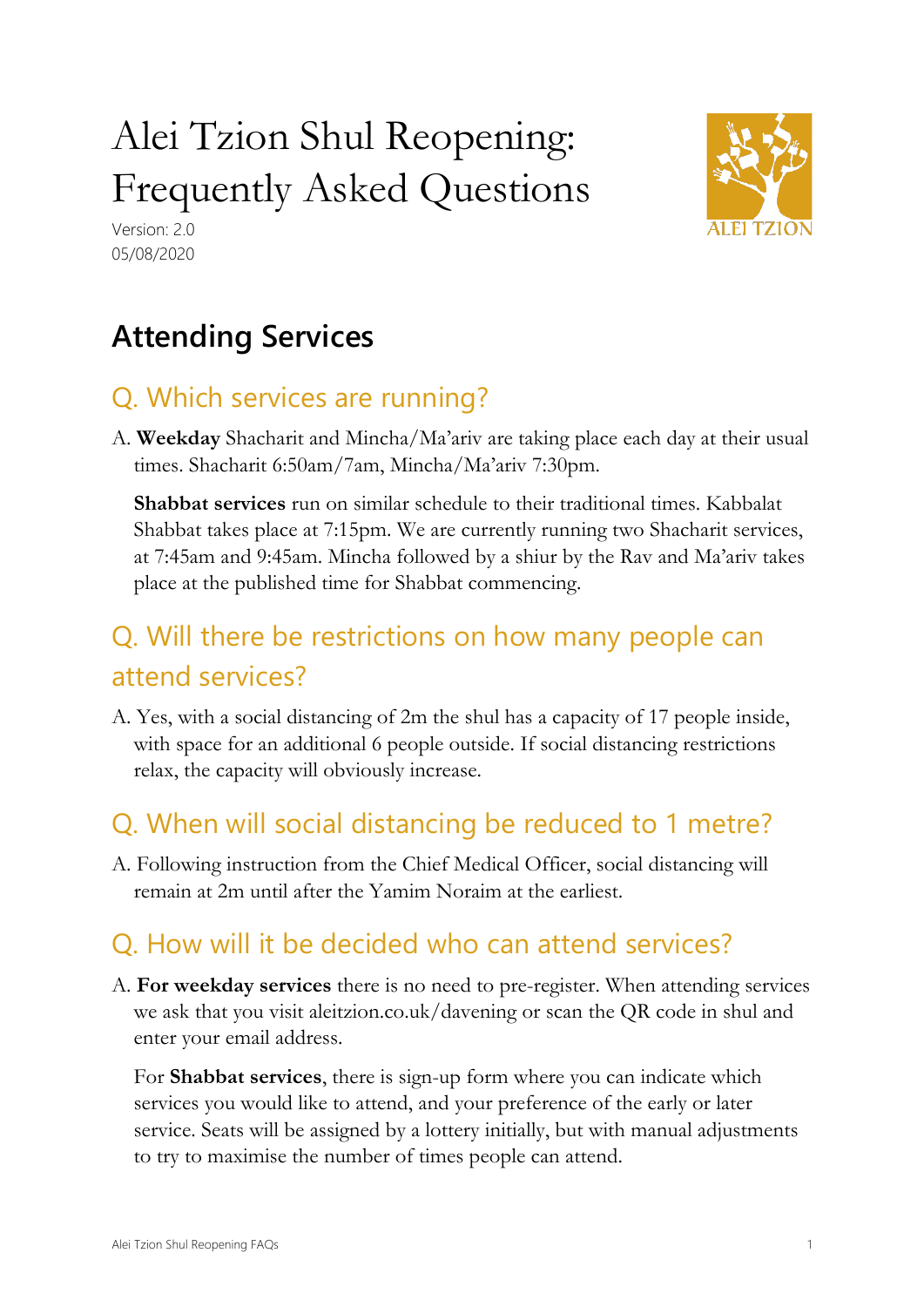# Alei Tzion Shul Reopening: Frequently Asked Questions





# **Attending Services**

## Q. Which services are running?

A. **Weekday** Shacharit and Mincha/Ma'ariv are taking place each day at their usual times. Shacharit 6:50am/7am, Mincha/Ma'ariv 7:30pm.

**Shabbat services** run on similar schedule to their traditional times. Kabbalat Shabbat takes place at 7:15pm. We are currently running two Shacharit services, at 7:45am and 9:45am. Mincha followed by a shiur by the Rav and Ma'ariv takes place at the published time for Shabbat commencing.

## Q. Will there be restrictions on how many people can attend services?

A. Yes, with a social distancing of 2m the shul has a capacity of 17 people inside, with space for an additional 6 people outside. If social distancing restrictions relax, the capacity will obviously increase.

## Q. When will social distancing be reduced to 1 metre?

A. Following instruction from the Chief Medical Officer, social distancing will remain at 2m until after the Yamim Noraim at the earliest.

## Q. How will it be decided who can attend services?

A. **For weekday services** there is no need to pre-register. When attending services we ask that you visit aleitzion.co.uk/davening or scan the QR code in shul and enter your email address.

For **Shabbat services**, there is sign-up form where you can indicate which services you would like to attend, and your preference of the early or later service. Seats will be assigned by a lottery initially, but with manual adjustments to try to maximise the number of times people can attend.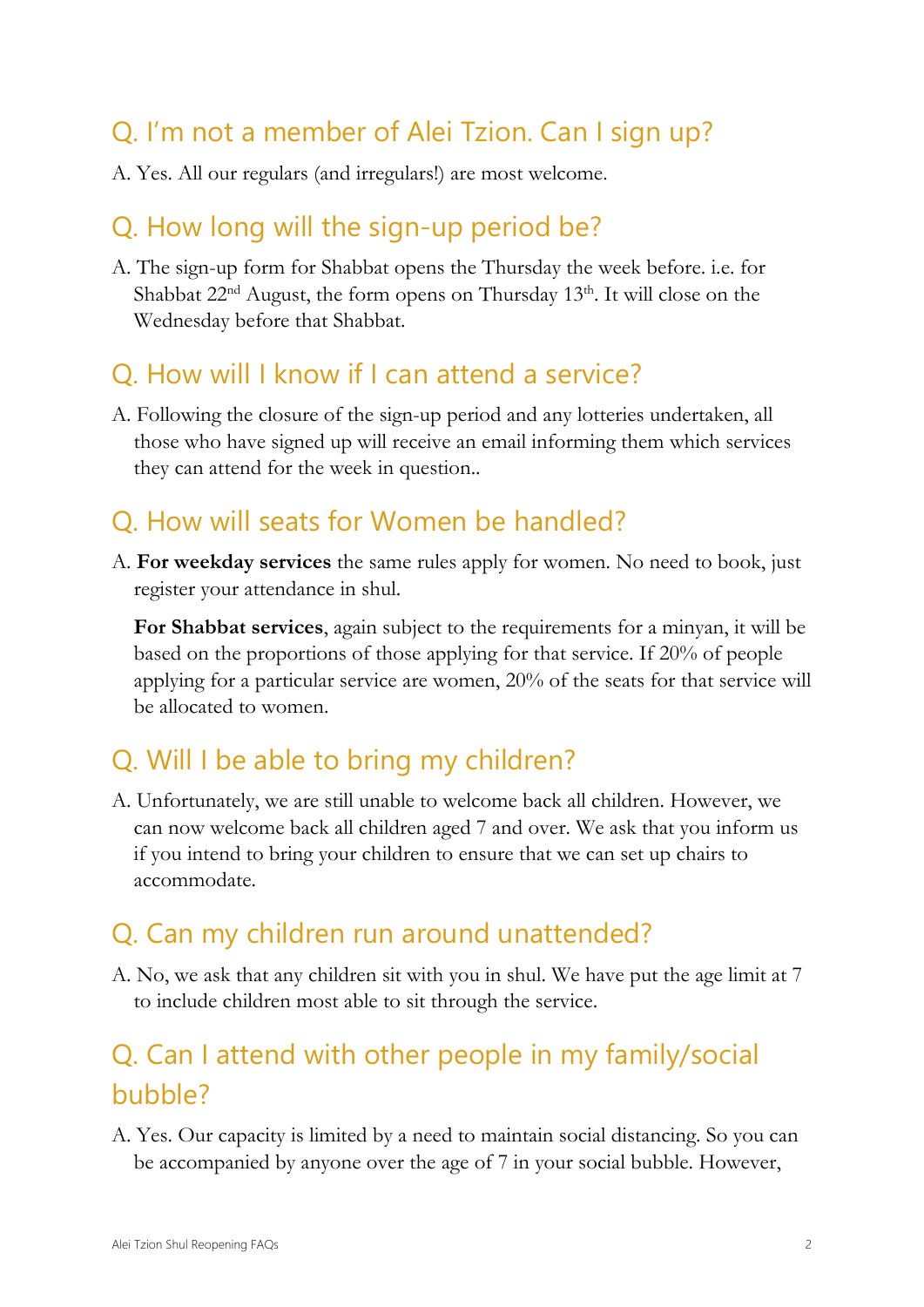## Q. I'm not a member of Alei Tzion. Can I sign up?

A. Yes. All our regulars (and irregulars!) are most welcome.

#### Q. How long will the sign-up period be?

A. The sign-up form for Shabbat opens the Thursday the week before. i.e. for Shabbat 22<sup>nd</sup> August, the form opens on Thursday 13<sup>th</sup>. It will close on the Wednesday before that Shabbat.

#### Q. How will I know if I can attend a service?

A. Following the closure of the sign-up period and any lotteries undertaken, all those who have signed up will receive an email informing them which services they can attend for the week in question..

## Q. How will seats for Women be handled?

A. **For weekday services** the same rules apply for women. No need to book, just register your attendance in shul.

**For Shabbat services**, again subject to the requirements for a minyan, it will be based on the proportions of those applying for that service. If 20% of people applying for a particular service are women, 20% of the seats for that service will be allocated to women.

### Q. Will I be able to bring my children?

A. Unfortunately, we are still unable to welcome back all children. However, we can now welcome back all children aged 7 and over. We ask that you inform us if you intend to bring your children to ensure that we can set up chairs to accommodate.

#### Q. Can my children run around unattended?

A. No, we ask that any children sit with you in shul. We have put the age limit at 7 to include children most able to sit through the service.

## Q. Can I attend with other people in my family/social bubble?

A. Yes. Our capacity is limited by a need to maintain social distancing. So you can be accompanied by anyone over the age of 7 in your social bubble. However,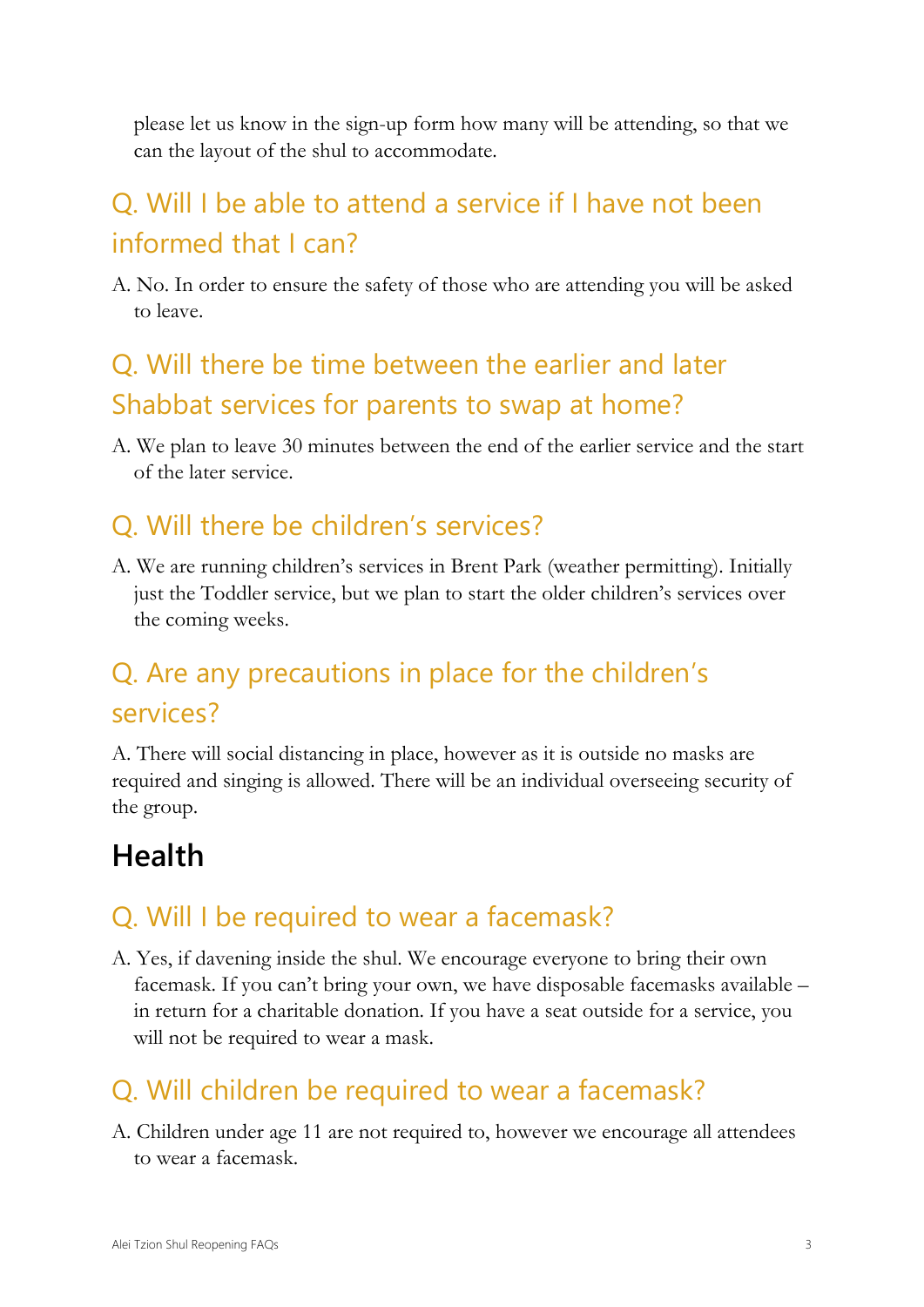please let us know in the sign-up form how many will be attending, so that we can the layout of the shul to accommodate.

# Q. Will I be able to attend a service if I have not been informed that I can?

A. No. In order to ensure the safety of those who are attending you will be asked to leave.

## Q. Will there be time between the earlier and later Shabbat services for parents to swap at home?

A. We plan to leave 30 minutes between the end of the earlier service and the start of the later service.

## Q. Will there be children's services?

A. We are running children's services in Brent Park (weather permitting). Initially just the Toddler service, but we plan to start the older children's services over the coming weeks.

## Q. Are any precautions in place for the children's services?

A. There will social distancing in place, however as it is outside no masks are required and singing is allowed. There will be an individual overseeing security of the group.

# **Health**

### Q. Will I be required to wear a facemask?

A. Yes, if davening inside the shul. We encourage everyone to bring their own facemask. If you can't bring your own, we have disposable facemasks available – in return for a charitable donation. If you have a seat outside for a service, you will not be required to wear a mask.

## Q. Will children be required to wear a facemask?

A. Children under age 11 are not required to, however we encourage all attendees to wear a facemask.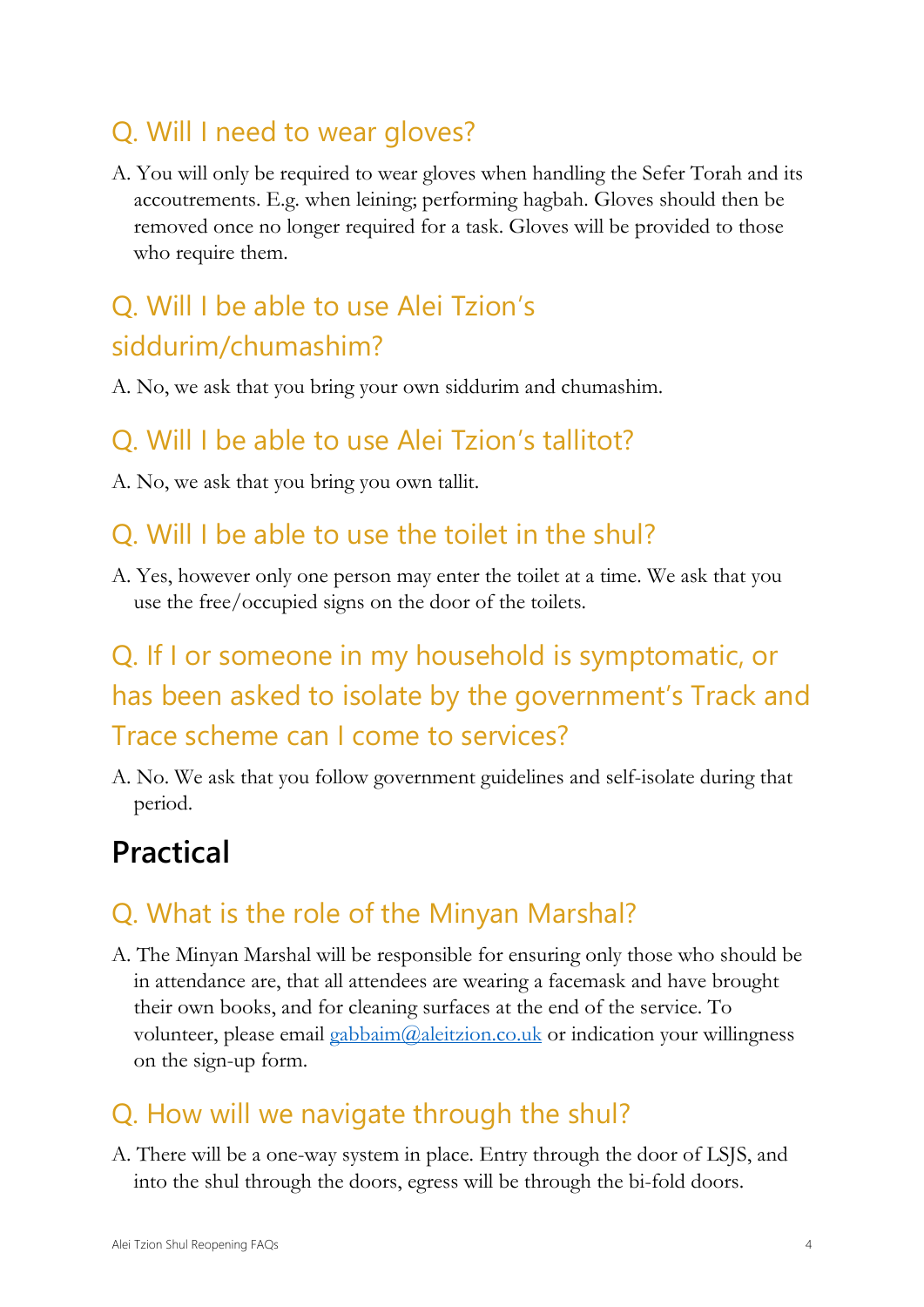#### Q. Will I need to wear gloves?

A. You will only be required to wear gloves when handling the Sefer Torah and its accoutrements. E.g. when leining; performing hagbah. Gloves should then be removed once no longer required for a task. Gloves will be provided to those who require them.

## Q. Will I be able to use Alei Tzion's siddurim/chumashim?

A. No, we ask that you bring your own siddurim and chumashim.

#### Q. Will I be able to use Alei Tzion's tallitot?

A. No, we ask that you bring you own tallit.

#### Q. Will I be able to use the toilet in the shul?

A. Yes, however only one person may enter the toilet at a time. We ask that you use the free/occupied signs on the door of the toilets.

# Q. If I or someone in my household is symptomatic, or has been asked to isolate by the government's Track and Trace scheme can I come to services?

A. No. We ask that you follow government guidelines and self-isolate during that period.

# **Practical**

## Q. What is the role of the Minyan Marshal?

A. The Minyan Marshal will be responsible for ensuring only those who should be in attendance are, that all attendees are wearing a facemask and have brought their own books, and for cleaning surfaces at the end of the service. To volunteer, please email [gabbaim@aleitzion.co.uk](mailto:gabbaim@aleitzion.co.uk) or indication your willingness on the sign-up form.

#### Q. How will we navigate through the shul?

A. There will be a one-way system in place. Entry through the door of LSJS, and into the shul through the doors, egress will be through the bi-fold doors.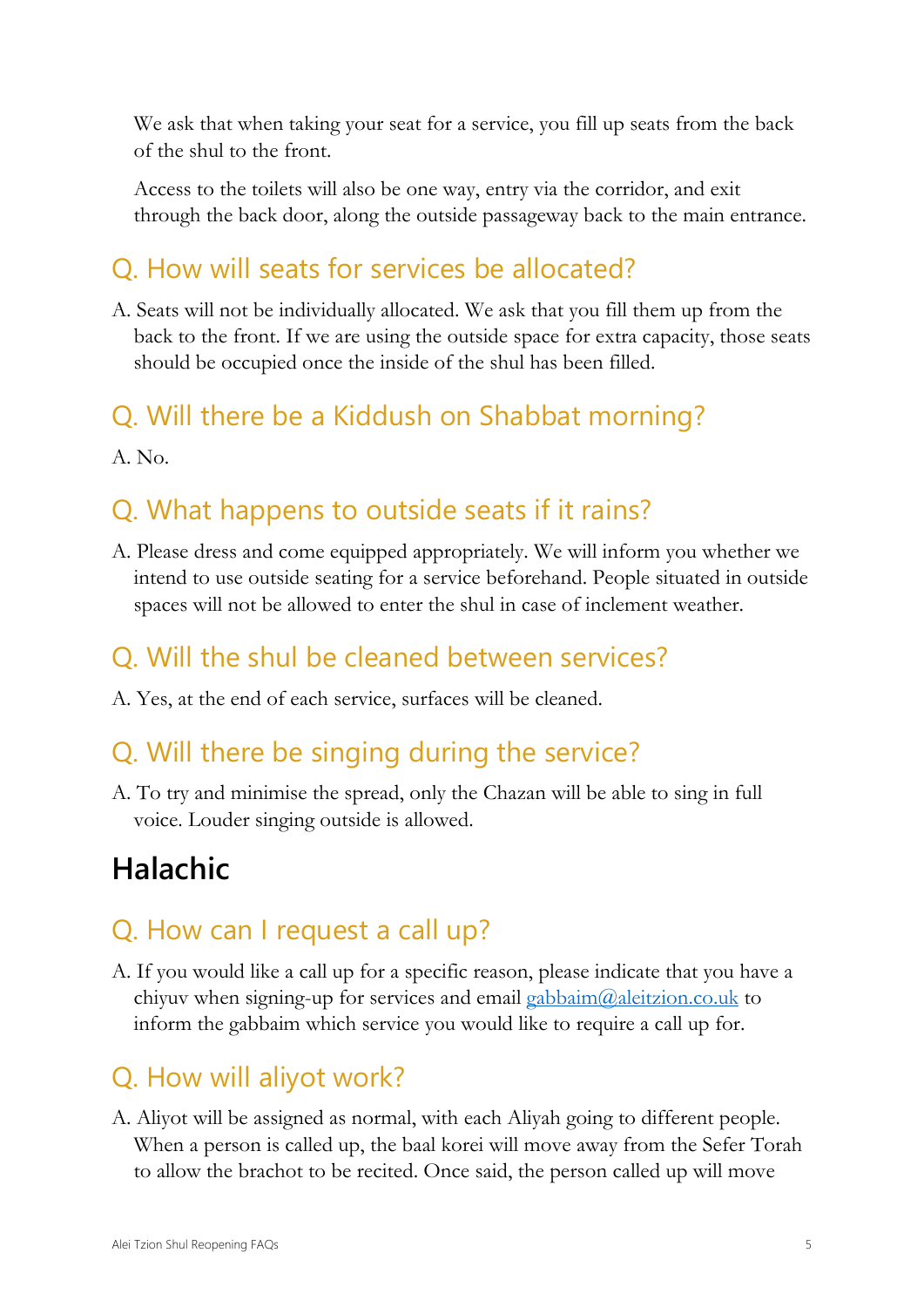We ask that when taking your seat for a service, you fill up seats from the back of the shul to the front.

Access to the toilets will also be one way, entry via the corridor, and exit through the back door, along the outside passageway back to the main entrance.

#### Q. How will seats for services be allocated?

A. Seats will not be individually allocated. We ask that you fill them up from the back to the front. If we are using the outside space for extra capacity, those seats should be occupied once the inside of the shul has been filled.

#### Q. Will there be a Kiddush on Shabbat morning?

A. No.

### Q. What happens to outside seats if it rains?

A. Please dress and come equipped appropriately. We will inform you whether we intend to use outside seating for a service beforehand. People situated in outside spaces will not be allowed to enter the shul in case of inclement weather.

#### Q. Will the shul be cleaned between services?

A. Yes, at the end of each service, surfaces will be cleaned.

### Q. Will there be singing during the service?

A. To try and minimise the spread, only the Chazan will be able to sing in full voice. Louder singing outside is allowed.

# **Halachic**

#### Q. How can I request a call up?

A. If you would like a call up for a specific reason, please indicate that you have a chiyuv when signing-up for services and email gabbaim $(\partial_{\alpha}$ leitzion.co.uk to inform the gabbaim which service you would like to require a call up for.

### Q. How will aliyot work?

A. Aliyot will be assigned as normal, with each Aliyah going to different people. When a person is called up, the baal korei will move away from the Sefer Torah to allow the brachot to be recited. Once said, the person called up will move